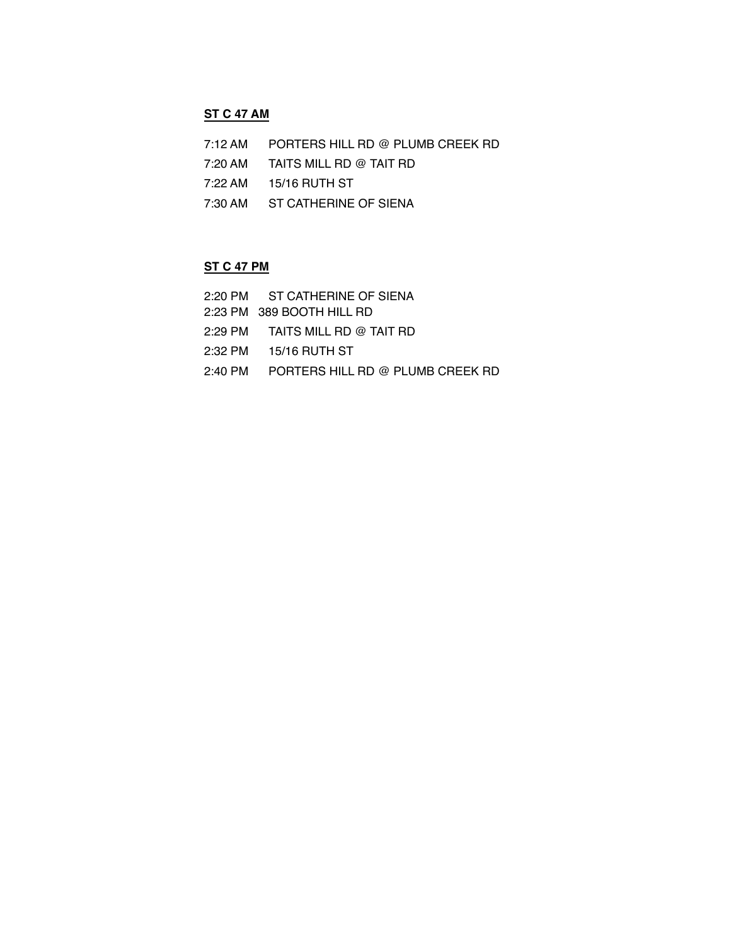### **ST C 47 AM**

- 7:12 AM PORTERS HILL RD @ PLUMB CREEK RD
- 7:20 AM TAITS MILL RD @ TAIT RD
- 7:22 AM 15/16 RUTH ST
- 7:30 AM ST CATHERINE OF SIENA

## **ST C 47 PM**

2:20 PM ST CATHERINE OF SIENA 2:23 PM 389 BOOTH HILL RD 2:29 PM TAITS MILL RD @ TAIT RD 2:32 PM 15/16 RUTH ST 2:40 PM PORTERS HILL RD @ PLUMB CREEK RD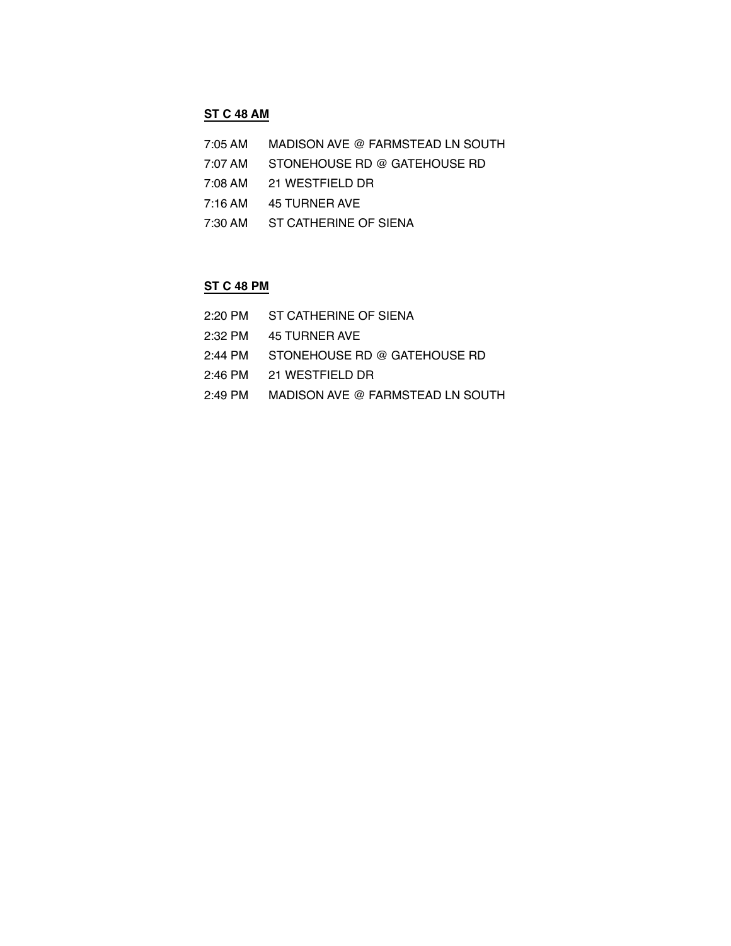## **ST C 48 AM**

- 7:05 AM MADISON AVE @ FARMSTEAD LN SOUTH
- 7:07 AM STONEHOUSE RD @ GATEHOUSE RD
- 7:08 AM 21 WESTFIELD DR
- 7:16 AM 45 TURNER AVE
- 7:30 AM ST CATHERINE OF SIENA

# **ST C 48 PM**

| 2:20 PM ST CATHERINE OF SIENA             |
|-------------------------------------------|
| 2:32 PM 45 TURNER AVE                     |
| 2:44 PM   STONEHOUSE RD @ GATEHOUSE RD    |
| 2:46 PM 21 WESTFIELD DR                   |
| 2:49 PM  MADISON AVE @ FARMSTEAD LN SOUTH |